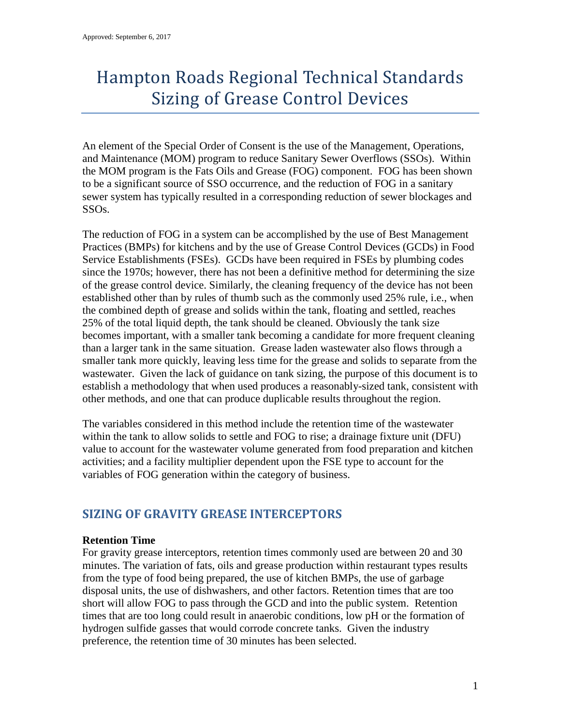# Hampton Roads Regional Technical Standards Sizing of Grease Control Devices

An element of the Special Order of Consent is the use of the Management, Operations, and Maintenance (MOM) program to reduce Sanitary Sewer Overflows (SSOs). Within the MOM program is the Fats Oils and Grease (FOG) component. FOG has been shown to be a significant source of SSO occurrence, and the reduction of FOG in a sanitary sewer system has typically resulted in a corresponding reduction of sewer blockages and SSOs.

The reduction of FOG in a system can be accomplished by the use of Best Management Practices (BMPs) for kitchens and by the use of Grease Control Devices (GCDs) in Food Service Establishments (FSEs). GCDs have been required in FSEs by plumbing codes since the 1970s; however, there has not been a definitive method for determining the size of the grease control device. Similarly, the cleaning frequency of the device has not been established other than by rules of thumb such as the commonly used 25% rule, i.e., when the combined depth of grease and solids within the tank, floating and settled, reaches 25% of the total liquid depth, the tank should be cleaned. Obviously the tank size becomes important, with a smaller tank becoming a candidate for more frequent cleaning than a larger tank in the same situation. Grease laden wastewater also flows through a smaller tank more quickly, leaving less time for the grease and solids to separate from the wastewater. Given the lack of guidance on tank sizing, the purpose of this document is to establish a methodology that when used produces a reasonably-sized tank, consistent with other methods, and one that can produce duplicable results throughout the region.

The variables considered in this method include the retention time of the wastewater within the tank to allow solids to settle and FOG to rise; a drainage fixture unit (DFU) value to account for the wastewater volume generated from food preparation and kitchen activities; and a facility multiplier dependent upon the FSE type to account for the variables of FOG generation within the category of business.

# **SIZING OF GRAVITY GREASE INTERCEPTORS**

#### **Retention Time**

For gravity grease interceptors, retention times commonly used are between 20 and 30 minutes. The variation of fats, oils and grease production within restaurant types results from the type of food being prepared, the use of kitchen BMPs, the use of garbage disposal units, the use of dishwashers, and other factors. Retention times that are too short will allow FOG to pass through the GCD and into the public system. Retention times that are too long could result in anaerobic conditions, low pH or the formation of hydrogen sulfide gasses that would corrode concrete tanks. Given the industry preference, the retention time of 30 minutes has been selected.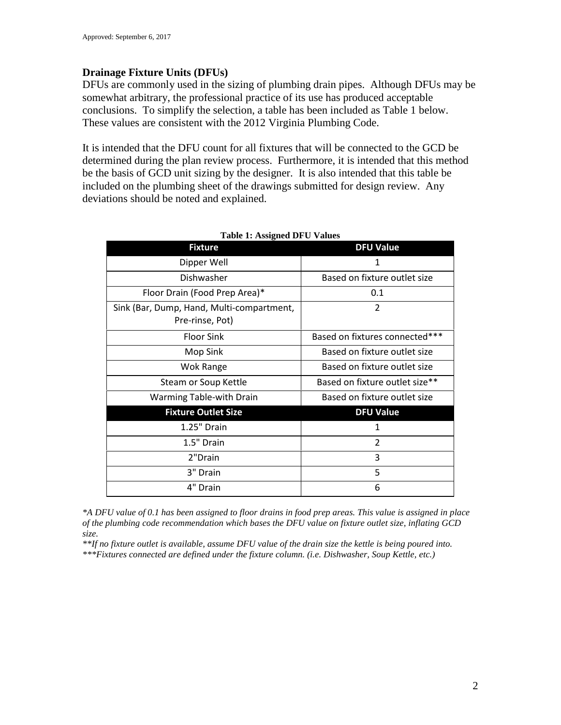# **Drainage Fixture Units (DFUs)**

DFUs are commonly used in the sizing of plumbing drain pipes. Although DFUs may be somewhat arbitrary, the professional practice of its use has produced acceptable conclusions. To simplify the selection, a table has been included as Table 1 below. These values are consistent with the 2012 Virginia Plumbing Code.

It is intended that the DFU count for all fixtures that will be connected to the GCD be determined during the plan review process. Furthermore, it is intended that this method be the basis of GCD unit sizing by the designer. It is also intended that this table be included on the plumbing sheet of the drawings submitted for design review. Any deviations should be noted and explained.

| <b>Fixture</b>                                               | <b>DFU Value</b>               |  |
|--------------------------------------------------------------|--------------------------------|--|
| Dipper Well                                                  | 1                              |  |
| Dishwasher                                                   | Based on fixture outlet size   |  |
| Floor Drain (Food Prep Area)*                                | 0.1                            |  |
| Sink (Bar, Dump, Hand, Multi-compartment,<br>Pre-rinse, Pot) | 2                              |  |
| <b>Floor Sink</b>                                            | Based on fixtures connected*** |  |
| Mop Sink                                                     | Based on fixture outlet size   |  |
| Wok Range                                                    | Based on fixture outlet size   |  |
| Steam or Soup Kettle                                         | Based on fixture outlet size** |  |
| <b>Warming Table-with Drain</b>                              | Based on fixture outlet size   |  |
| <b>Fixture Outlet Size</b>                                   | <b>DFU Value</b>               |  |
| 1.25" Drain                                                  | 1                              |  |
| 1.5" Drain                                                   | $\overline{2}$                 |  |
| 2"Drain                                                      | 3                              |  |
| 3" Drain                                                     | 5                              |  |
| 4" Drain                                                     | 6                              |  |

#### **Table 1: Assigned DFU Values**

*\*A DFU value of 0.1 has been assigned to floor drains in food prep areas. This value is assigned in place of the plumbing code recommendation which bases the DFU value on fixture outlet size, inflating GCD size.*

*\*\*If no fixture outlet is available, assume DFU value of the drain size the kettle is being poured into. \*\*\*Fixtures connected are defined under the fixture column. (i.e. Dishwasher, Soup Kettle, etc.)*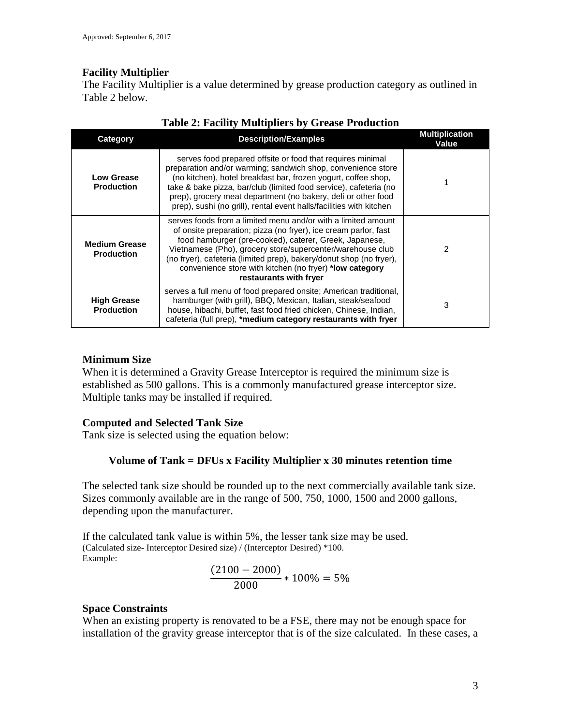# **Facility Multiplier**

The Facility Multiplier is a value determined by grease production category as outlined in Table 2 below.

| Category                                  | <b>Description/Examples</b>                                                                                                                                                                                                                                                                                                                                                                                          | <b>Multiplication</b><br>Value |
|-------------------------------------------|----------------------------------------------------------------------------------------------------------------------------------------------------------------------------------------------------------------------------------------------------------------------------------------------------------------------------------------------------------------------------------------------------------------------|--------------------------------|
| <b>Low Grease</b><br><b>Production</b>    | serves food prepared offsite or food that requires minimal<br>preparation and/or warming; sandwich shop, convenience store<br>(no kitchen), hotel breakfast bar, frozen yogurt, coffee shop,<br>take & bake pizza, bar/club (limited food service), cafeteria (no<br>prep), grocery meat department (no bakery, deli or other food<br>prep), sushi (no grill), rental event halls/facilities with kitchen            |                                |
| <b>Medium Grease</b><br><b>Production</b> | serves foods from a limited menu and/or with a limited amount<br>of onsite preparation; pizza (no fryer), ice cream parlor, fast<br>food hamburger (pre-cooked), caterer, Greek, Japanese,<br>Vietnamese (Pho), grocery store/supercenter/warehouse club<br>(no fryer), cafeteria (limited prep), bakery/donut shop (no fryer),<br>convenience store with kitchen (no fryer) *low category<br>restaurants with fryer | 2                              |
| <b>High Grease</b><br><b>Production</b>   | serves a full menu of food prepared onsite; American traditional,<br>hamburger (with grill), BBQ, Mexican, Italian, steak/seafood<br>house, hibachi, buffet, fast food fried chicken, Chinese, Indian,<br>cafeteria (full prep), *medium category restaurants with fryer                                                                                                                                             | 3                              |

# **Table 2: Facility Multipliers by Grease Production**

# **Minimum Size**

When it is determined a Gravity Grease Interceptor is required the minimum size is established as 500 gallons. This is a commonly manufactured grease interceptor size. Multiple tanks may be installed if required.

#### **Computed and Selected Tank Size**

Tank size is selected using the equation below:

# **Volume of Tank = DFUs x Facility Multiplier x 30 minutes retention time**

The selected tank size should be rounded up to the next commercially available tank size. Sizes commonly available are in the range of 500, 750, 1000, 1500 and 2000 gallons, depending upon the manufacturer.

If the calculated tank value is within 5%, the lesser tank size may be used. (Calculated size- Interceptor Desired size) / (Interceptor Desired) \*100. Example:

$$
\frac{(2100-2000)}{2000} * 100\% = 5\%
$$

#### **Space Constraints**

When an existing property is renovated to be a FSE, there may not be enough space for installation of the gravity grease interceptor that is of the size calculated. In these cases, a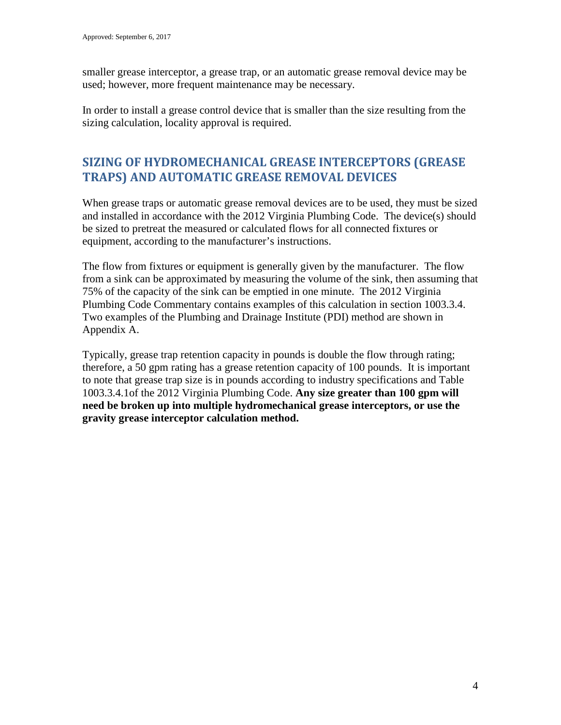smaller grease interceptor, a grease trap, or an automatic grease removal device may be used; however, more frequent maintenance may be necessary.

In order to install a grease control device that is smaller than the size resulting from the sizing calculation, locality approval is required.

# **SIZING OF HYDROMECHANICAL GREASE INTERCEPTORS (GREASE TRAPS) AND AUTOMATIC GREASE REMOVAL DEVICES**

When grease traps or automatic grease removal devices are to be used, they must be sized and installed in accordance with the 2012 Virginia Plumbing Code. The device(s) should be sized to pretreat the measured or calculated flows for all connected fixtures or equipment, according to the manufacturer's instructions.

The flow from fixtures or equipment is generally given by the manufacturer. The flow from a sink can be approximated by measuring the volume of the sink, then assuming that 75% of the capacity of the sink can be emptied in one minute. The 2012 Virginia Plumbing Code Commentary contains examples of this calculation in section 1003.3.4. Two examples of the Plumbing and Drainage Institute (PDI) method are shown in Appendix A.

Typically, grease trap retention capacity in pounds is double the flow through rating; therefore, a 50 gpm rating has a grease retention capacity of 100 pounds. It is important to note that grease trap size is in pounds according to industry specifications and Table 1003.3.4.1of the 2012 Virginia Plumbing Code. **Any size greater than 100 gpm will need be broken up into multiple hydromechanical grease interceptors, or use the gravity grease interceptor calculation method.**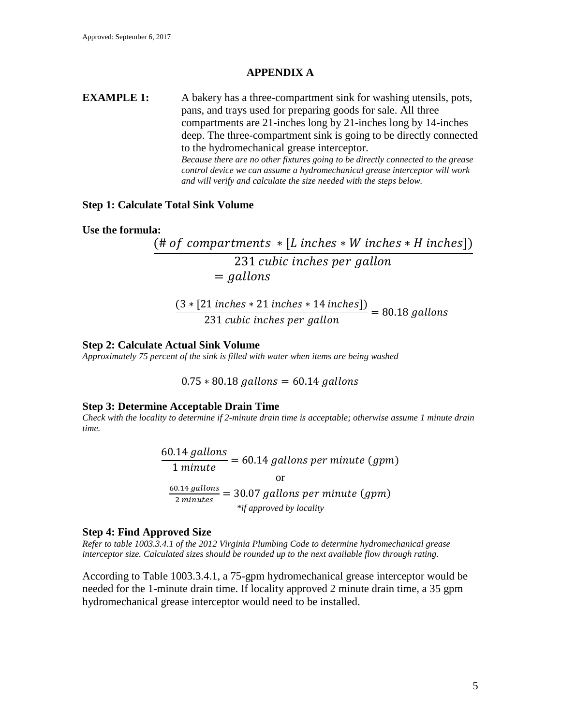## **APPENDIX A**

**EXAMPLE 1:** A bakery has a three-compartment sink for washing utensils, pots, pans, and trays used for preparing goods for sale. All three compartments are 21-inches long by 21-inches long by 14-inches deep. The three-compartment sink is going to be directly connected to the hydromechanical grease interceptor. *Because there are no other fixtures going to be directly connected to the grease control device we can assume a hydromechanical grease interceptor will work and will verify and calculate the size needed with the steps below.*

#### **Step 1: Calculate Total Sink Volume**

**Use the formula:** 

 $(\# of\ components * [L\ inches * W\ inches * H\ inches])$ 231 cubic inches per gall  $=$  gallons

$$
\frac{(3*[21\ inches*21\ inches*14\ inches])}{231\ cubic\ inches\ per\ gallon} = 80.18\ gallons
$$

#### **Step 2: Calculate Actual Sink Volume**

*Approximately 75 percent of the sink is filled with water when items are being washed*

 $0.75 * 80.18$  gallons = 60.14 gallons

#### **Step 3: Determine Acceptable Drain Time**

*Check with the locality to determine if 2-minute drain time is acceptable; otherwise assume 1 minute drain time.* 

> $\frac{60.14 \text{ gallons}}{1 \text{ minute}} = 60.14 \text{ gallons per minute (gpm)}$  $\overline{1\ minute}$  = 60.14 gallons per minute (gpm) or  $\frac{60.14 \text{ gallons}}{2 \text{ minutes}} = 30.07 \text{ gallons per minute (gpm)}$ *\*if approved by locality*

#### **Step 4: Find Approved Size**

*Refer to table 1003.3.4.1 of the 2012 Virginia Plumbing Code to determine hydromechanical grease interceptor size. Calculated sizes should be rounded up to the next available flow through rating.* 

According to Table 1003.3.4.1, a 75-gpm hydromechanical grease interceptor would be needed for the 1-minute drain time. If locality approved 2 minute drain time, a 35 gpm hydromechanical grease interceptor would need to be installed.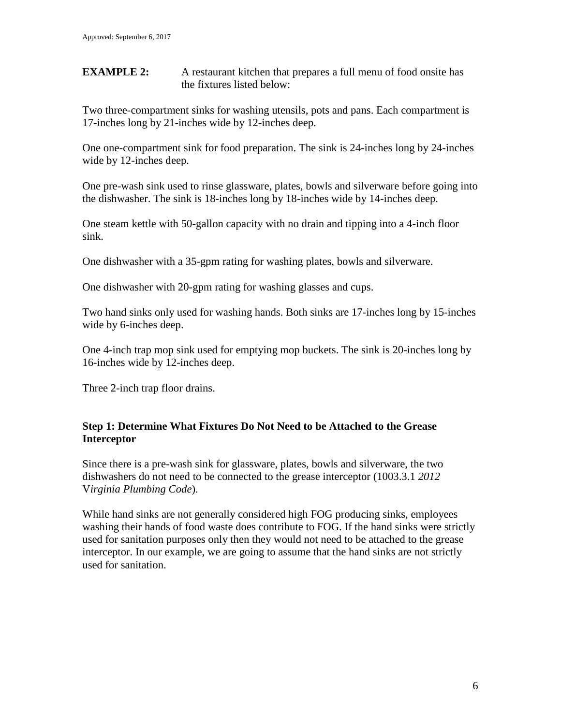**EXAMPLE 2:** A restaurant kitchen that prepares a full menu of food onsite has the fixtures listed below:

Two three-compartment sinks for washing utensils, pots and pans. Each compartment is 17-inches long by 21-inches wide by 12-inches deep.

One one-compartment sink for food preparation. The sink is 24-inches long by 24-inches wide by 12-inches deep.

One pre-wash sink used to rinse glassware, plates, bowls and silverware before going into the dishwasher. The sink is 18-inches long by 18-inches wide by 14-inches deep.

One steam kettle with 50-gallon capacity with no drain and tipping into a 4-inch floor sink.

One dishwasher with a 35-gpm rating for washing plates, bowls and silverware.

One dishwasher with 20-gpm rating for washing glasses and cups.

Two hand sinks only used for washing hands. Both sinks are 17-inches long by 15-inches wide by 6-inches deep.

One 4-inch trap mop sink used for emptying mop buckets. The sink is 20-inches long by 16-inches wide by 12-inches deep.

Three 2-inch trap floor drains.

# **Step 1: Determine What Fixtures Do Not Need to be Attached to the Grease Interceptor**

Since there is a pre-wash sink for glassware, plates, bowls and silverware, the two dishwashers do not need to be connected to the grease interceptor (1003.3.1 *2012*  V*irginia Plumbing Code*).

While hand sinks are not generally considered high FOG producing sinks, employees washing their hands of food waste does contribute to FOG. If the hand sinks were strictly used for sanitation purposes only then they would not need to be attached to the grease interceptor. In our example, we are going to assume that the hand sinks are not strictly used for sanitation.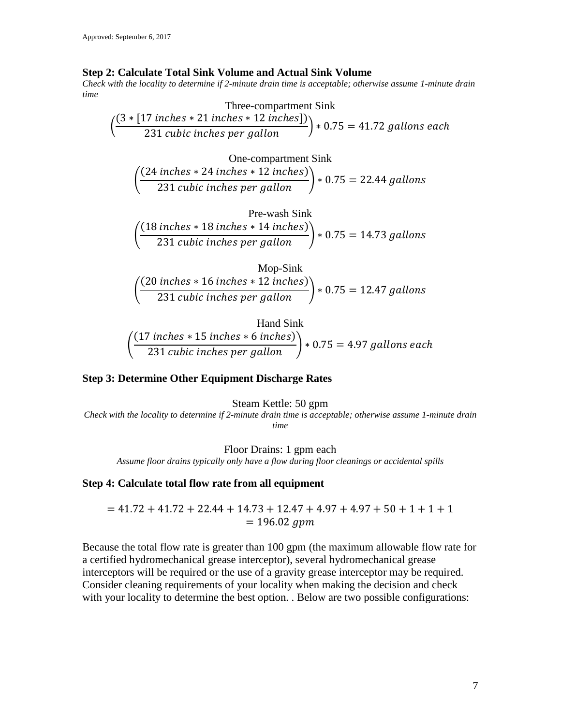#### **Step 2: Calculate Total Sink Volume and Actual Sink Volume**

*Check with the locality to determine if 2-minute drain time is acceptable; otherwise assume 1-minute drain time*

| Three- compartment Sink                                                                                                  |
|--------------------------------------------------------------------------------------------------------------------------|
| $\left(\frac{(3 * [17 inches * 21 inches * 12 inches])}{231 cubic inches per gallon}\right) * 0.75 = 41.72 gallons each$ |

One-component Sink\n
$$
\left(\frac{(24\ inches * 24\ inches * 12\ inches)}{231\ cubic\ inches\ per\ gallon}\right) * 0.75 = 22.44\ gallons
$$

Pre-wash Sink

\n
$$
\left(\frac{(18 inches * 18 inches * 14 inches)}{231 cubic inches per gallon}\right) * 0.75 = 14.73 gallons
$$

$$
Mop-Sink
$$
  

$$
\left(\frac{(20 inches * 16 inches * 12 inches)}{231 cubic inches per gallon}\right) * 0.75 = 12.47 gallons
$$

Hand Sink

\n
$$
\left(\frac{(17 \text{ inches} * 15 \text{ inches} * 6 \text{ inches})}{231 \text{ cubic inches per gallon}}\right) * 0.75 = 4.97 \text{ gallons each}
$$

#### **Step 3: Determine Other Equipment Discharge Rates**

#### Steam Kettle: 50 gpm

*Check with the locality to determine if 2-minute drain time is acceptable; otherwise assume 1-minute drain time*

Floor Drains: 1 gpm each

*Assume floor drains typically only have a flow during floor cleanings or accidental spills*

#### **Step 4: Calculate total flow rate from all equipment**

$$
= 41.72 + 41.72 + 22.44 + 14.73 + 12.47 + 4.97 + 4.97 + 50 + 1 + 1 + 1
$$
  
= 196.02 *gpm*

Because the total flow rate is greater than 100 gpm (the maximum allowable flow rate for a certified hydromechanical grease interceptor), several hydromechanical grease interceptors will be required or the use of a gravity grease interceptor may be required. Consider cleaning requirements of your locality when making the decision and check with your locality to determine the best option. . Below are two possible configurations: